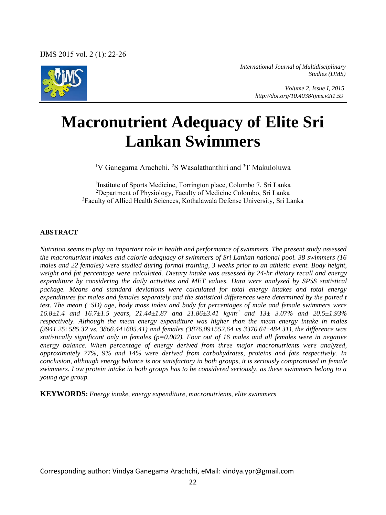

*International Journal of Multidisciplinary Studies (IJMS)* 

> *Volume 2, Issue I, 2015 http://doi.org/10.4038/ijms.v2i1.59*

# **Macronutrient Adequacy of Elite Sri Lankan Swimmers**

<sup>1</sup>V Ganegama Arachchi, <sup>2</sup>S Wasalathanthiri and <sup>3</sup>T Makuloluwa

<sup>1</sup>Institute of Sports Medicine, Torrington place, Colombo 7, Sri Lanka <sup>2</sup>Department of Physiology, Faculty of Medicine Colombo, Sri Lanka <sup>3</sup>Faculty of Allied Health Sciences, Kothalawala Defense University, Sri Lanka

### **ABSTRACT**

*Nutrition seems to play an important role in health and performance of swimmers. The present study assessed the macronutrient intakes and calorie adequacy of swimmers of Sri Lankan national pool. 38 swimmers (16 males and 22 females) were studied during formal training, 3 weeks prior to an athletic event. Body height, weight and fat percentage were calculated. Dietary intake was assessed by 24-hr dietary recall and energy expenditure by considering the daily activities and MET values. Data were analyzed by SPSS statistical package. Means and standard deviations were calculated for total energy intakes and total energy expenditures for males and females separately and the statistical differences were determined by the paired t test. The mean (±SD) age, body mass index and body fat percentages of male and female swimmers were 16.8±1.4 and 16.7±1.5 years, 21.44±1.87 and 21.86±3.41 kg/m<sup>2</sup> and 13± 3.07% and 20.5±1.93% respectively. Although the mean energy expenditure was higher than the mean energy intake in males (3941.25±585.32 vs. 3866.44±605.41) and females (3876.09±552.64 vs 3370.64±484.31), the difference was statistically significant only in females (p=0.002). Four out of 16 males and all females were in negative energy balance. When percentage of energy derived from three major macronutrients were analyzed, approximately 77%, 9% and 14% were derived from carbohydrates, proteins and fats respectively. In conclusion, although energy balance is not satisfactory in both groups, it is seriously compromised in female swimmers. Low protein intake in both groups has to be considered seriously, as these swimmers belong to a young age group.* 

**KEYWORDS:** *Energy intake, energy expenditure, macronutrients, elite swimmers* 

Corresponding author: Vindya Ganegama Arachchi, eMail[: vindya.ypr@gmail.com](mailto:vindya.ypr@gmail.com)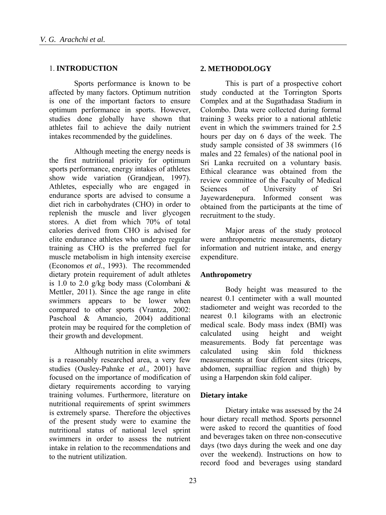## 1. **INTRODUCTION**

Sports performance is known to be affected by many factors. Optimum nutrition is one of the important factors to ensure optimum performance in sports. However, studies done globally have shown that athletes fail to achieve the daily nutrient intakes recommended by the guidelines.

Although meeting the energy needs is the first nutritional priority for optimum sports performance, energy intakes of athletes show wide variation (Grandjean, 1997). Athletes, especially who are engaged in endurance sports are advised to consume a diet rich in carbohydrates (CHO) in order to replenish the muscle and liver glycogen stores. A diet from which 70% of total calories derived from CHO is advised for elite endurance athletes who undergo regular training as CHO is the preferred fuel for muscle metabolism in high intensity exercise (Economos *et al.*, 1993). The recommended dietary protein requirement of adult athletes is 1.0 to 2.0 g/kg body mass (Colombani  $\&$ Mettler, 2011). Since the age range in elite swimmers appears to be lower when compared to other sports (Vrantza, 2002: Paschoal & Amancio, 2004) additional protein may be required for the completion of their growth and development.

Although nutrition in elite swimmers is a reasonably researched area, a very few studies (Ousley-Pahnke *et al.,* 2001) have focused on the importance of modification of dietary requirements according to varying training volumes. Furthermore, literature on nutritional requirements of sprint swimmers is extremely sparse. Therefore the objectives of the present study were to examine the nutritional status of national level sprint swimmers in order to assess the nutrient intake in relation to the recommendations and to the nutrient utilization.

## **2. METHODOLOGY**

This is part of a prospective cohort study conducted at the Torrington Sports Complex and at the Sugathadasa Stadium in Colombo. Data were collected during formal training 3 weeks prior to a national athletic event in which the swimmers trained for 2.5 hours per day on 6 days of the week. The study sample consisted of 38 swimmers (16 males and 22 females) of the national pool in Sri Lanka recruited on a voluntary basis. Ethical clearance was obtained from the review committee of the Faculty of Medical Sciences of University of Sri Jayewardenepura. Informed consent was obtained from the participants at the time of recruitment to the study.

Major areas of the study protocol were anthropometric measurements, dietary information and nutrient intake, and energy expenditure.

## **Anthropometry**

Body height was measured to the nearest 0.1 centimeter with a wall mounted stadiometer and weight was recorded to the nearest 0.1 kilograms with an electronic medical scale. Body mass index (BMI) was calculated using height and weight measurements. Body fat percentage was calculated using skin fold thickness measurements at four different sites (triceps, abdomen, suprailliac region and thigh) by using a Harpendon skin fold caliper.

#### **Dietary intake**

Dietary intake was assessed by the 24 hour dietary recall method. Sports personnel were asked to record the quantities of food and beverages taken on three non-consecutive days (two days during the week and one day over the weekend). Instructions on how to record food and beverages using standard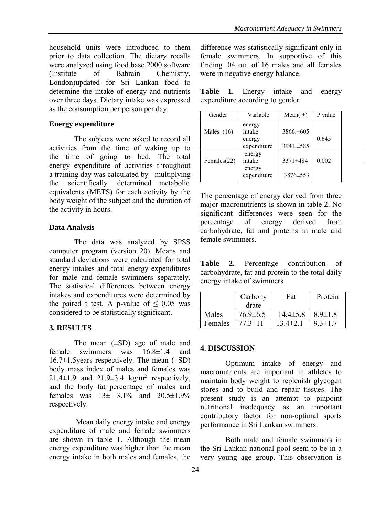household units were introduced to them prior to data collection. The dietary recalls were analyzed using food base 2000 software (Institute of Bahrain Chemistry, London)updated for Sri Lankan food to determine the intake of energy and nutrients over three days. Dietary intake was expressed as the consumption per person per day.

### **Energy expenditure**

The subjects were asked to record all activities from the time of waking up to the time of going to bed. The total energy expenditure of activities throughout a training day was calculated by multiplying the scientifically determined metabolic equivalents (METS) for each activity by the body weight of the subject and the duration of the activity in hours.

## **Data Analysis**

The data was analyzed by SPSS computer program (version 20). Means and standard deviations were calculated for total energy intakes and total energy expenditures for male and female swimmers separately. The statistical differences between energy intakes and expenditures were determined by the paired t test. A p-value of  $\leq 0.05$  was considered to be statistically significant.

## **3. RESULTS**

The mean  $(\pm SD)$  age of male and female swimmers was 16.8±1.4 and  $16.7\pm1.5$ years respectively. The mean  $(\pm SD)$ body mass index of males and females was 21.4 $\pm$ 1.9 and 21.9 $\pm$ 3.4 kg/m<sup>2</sup> respectively, and the body fat percentage of males and females was  $13\pm 3.1\%$  and  $20.5\pm 1.9\%$ respectively.

 Mean daily energy intake and energy expenditure of male and female swimmers are shown in table 1. Although the mean energy expenditure was higher than the mean energy intake in both males and females, the difference was statistically significant only in female swimmers. In supportive of this finding, 04 out of 16 males and all females were in negative energy balance.

|  | Table 1. Energy intake and energy |  |  |
|--|-----------------------------------|--|--|
|  | expenditure according to gender   |  |  |

| Gender       | Variable                                  | Mean( $\pm$ )               | P value |
|--------------|-------------------------------------------|-----------------------------|---------|
| Males $(16)$ | energy<br>intake<br>energy<br>expenditure | $3866 \pm 605$<br>3941.±585 | 0.645   |
| Females(22)  | energy<br>intake<br>energy<br>expenditure | 3371±484<br>3876±553        | 0.002   |

The percentage of energy derived from three major macronutrients is shown in table 2. No significant differences were seen for the percentage of energy derived from carbohydrate, fat and proteins in male and female swimmers.

**Table 2.** Percentage contribution of carbohydrate, fat and protein to the total daily energy intake of swimmers

|         | Carbohy        | Fat            | Protein       |
|---------|----------------|----------------|---------------|
|         | drate          |                |               |
| Males   | $76.9 \pm 6.5$ | $14.4 \pm 5.8$ | $8.9 \pm 1.8$ |
| Females | $773 \pm 11$   | $13.4 \pm 2.1$ | $9.3 \pm 1.7$ |

## **4. DISCUSSION**

Optimum intake of energy and macronutrients are important in athletes to maintain body weight to replenish glycogen stores and to build and repair tissues. The present study is an attempt to pinpoint nutritional inadequacy as an important contributory factor for non-optimal sports performance in Sri Lankan swimmers.

Both male and female swimmers in the Sri Lankan national pool seem to be in a very young age group. This observation is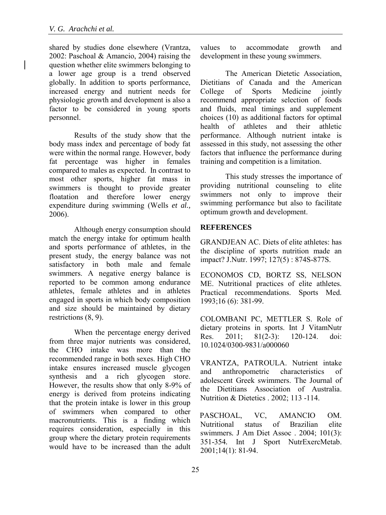shared by studies done elsewhere (Vrantza, 2002: Paschoal & Amancio, 2004) raising the question whether elite swimmers belonging to a lower age group is a trend observed globally. In addition to sports performance, increased energy and nutrient needs for physiologic growth and development is also a factor to be considered in young sports personnel.

Results of the study show that the body mass index and percentage of body fat were within the normal range. However, body fat percentage was higher in females compared to males as expected. In contrast to most other sports, higher fat mass in swimmers is thought to provide greater floatation and therefore lower energy expenditure during swimming (Wells *et al.,* 2006).

Although energy consumption should match the energy intake for optimum health and sports performance of athletes, in the present study, the energy balance was not satisfactory in both male and female swimmers. A negative energy balance is reported to be common among endurance athletes, female athletes and in athletes engaged in sports in which body composition and size should be maintained by dietary restrictions (8, 9).

When the percentage energy derived from three major nutrients was considered, the CHO intake was more than the recommended range in both sexes. High CHO intake ensures increased muscle glycogen synthesis and a rich glycogen store. However, the results show that only 8-9% of energy is derived from proteins indicating that the protein intake is lower in this group of swimmers when compared to other macronutrients. This is a finding which requires consideration, especially in this group where the dietary protein requirements would have to be increased than the adult values to accommodate growth and development in these young swimmers.

The American Dietetic Association, Dietitians of Canada and the American<br>College of Sports Medicine iointly of Sports Medicine jointly recommend appropriate selection of foods and fluids, meal timings and supplement choices (10) as additional factors for optimal health of athletes and their athletic performance. Although nutrient intake is assessed in this study, not assessing the other factors that influence the performance during training and competition is a limitation.

This study stresses the importance of providing nutritional counseling to elite swimmers not only to improve their swimming performance but also to facilitate optimum growth and development.

### **REFERENCES**

GRANDJEAN AC. Diets of elite athletes: has the discipline of sports nutrition made an impact? J.Nutr. 1997; 127(5) : 874S-877S.

ECONOMOS CD, BORTZ SS, NELSON ME. Nutritional practices of elite athletes. Practical recommendations. Sports Med. 1993;16 (6): 381-99.

COLOMBANI PC, METTLER S. Role of dietary proteins in sports. Int J VitamNutr Res. 2011; 81(2-3): 120-124. doi: 10.1024/0300-9831/a000060

VRANTZA, PATROULA. Nutrient intake and anthropometric characteristics of adolescent Greek swimmers[. The Journal of](http://www.thefreelibrary.com/Nutrition+%26+Dietetics%3a+The+Journal+of+the+Dietitians+Association+of+Australia/2002/March/1-p5311)  [the Dietitians Association of Australia.](http://www.thefreelibrary.com/Nutrition+%26+Dietetics%3a+The+Journal+of+the+Dietitians+Association+of+Australia/2002/March/1-p5311) Nutrition & Dietetics . 2002; 113 -114.

PASCHOAL, VC, AMANCIO OM. Nutritional status of Brazilian elite swimmers*.* J Am Diet Assoc . 2004; 101(3): 351-354*.* Int J Sport NutrExercMetab. 2001;14(1): 81-94.